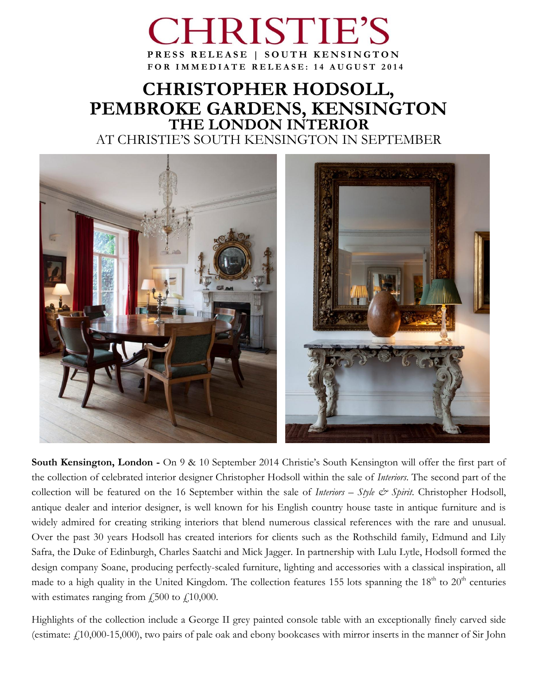# **RISTIE PRESS RELEASE | SOUTH KENSINGTON F O R I M M E D I A T E R E L E A S E : 1 4 A U G U S T 2 0 1 4**

## **CHRISTOPHER HODSOLL, PEMBROKE GARDENS, KENSINGTON THE LONDON INTERIOR** AT CHRISTIE'S SOUTH KENSINGTON IN SEPTEMBER



**South Kensington, London -** On 9 & 10 September 2014 Christie's South Kensington will offer the first part of the collection of celebrated interior designer Christopher Hodsoll within the sale of *Interiors*. The second part of the collection will be featured on the 16 September within the sale of *Interiors – Style & Spirit*. Christopher Hodsoll, antique dealer and interior designer, is well known for his English country house taste in antique furniture and is widely admired for creating striking interiors that blend numerous classical references with the rare and unusual. Over the past 30 years Hodsoll has created interiors for clients such as the Rothschild family, Edmund and Lily Safra, the Duke of Edinburgh, Charles Saatchi and Mick Jagger. In partnership with Lulu Lytle, Hodsoll formed the design company Soane, producing perfectly-scaled furniture, lighting and accessories with a classical inspiration, all made to a high quality in the United Kingdom. The collection features 155 lots spanning the  $18<sup>th</sup>$  to  $20<sup>th</sup>$  centuries with estimates ranging from  $\dot{f}_1$ , 500 to  $\dot{f}_1$ , 10,000.

Highlights of the collection include a George II grey painted console table with an exceptionally finely carved side (estimate: £10,000-15,000), two pairs of pale oak and ebony bookcases with mirror inserts in the manner of Sir John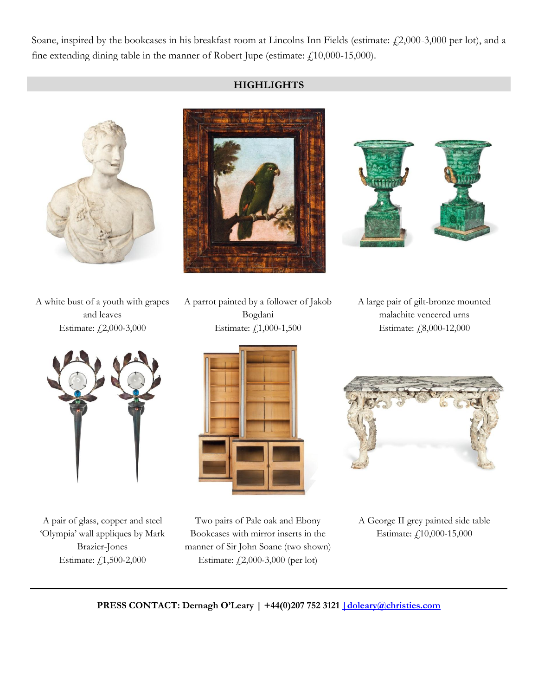Soane, inspired by the bookcases in his breakfast room at Lincolns Inn Fields (estimate:  $\text{\textsterling}2,000$ -3,000 per lot), and a fine extending dining table in the manner of Robert Jupe (estimate: £10,000-15,000).

### **HIGHLIGHTS**







A white bust of a youth with grapes and leaves Estimate: £2,000-3,000



A pair of glass, copper and steel 'Olympia' wall appliques by Mark Brazier-Jones Estimate: £1,500-2,000

A parrot painted by a follower of Jakob Bogdani Estimate: £1,000-1,500



Two pairs of Pale oak and Ebony Bookcases with mirror inserts in the manner of Sir John Soane (two shown) Estimate: £2,000-3,000 (per lot)

A large pair of gilt-bronze mounted malachite veneered urns Estimate: £8,000-12,000



A George II grey painted side table Estimate: £10,000-15,000

**PRESS CONTACT: Dernagh O'Leary | +44(0)207 752 3121 [|doleary@christies.com](mailto:%7Cdoleary@christies.com)**